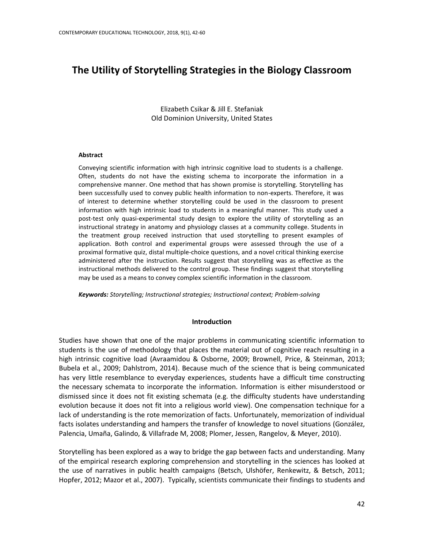# **The Utility of Storytelling Strategies in the Biology Classroom**

Elizabeth Csikar & Jill E. Stefaniak Old Dominion University, United States

#### **Abstract**

Conveying scientific information with high intrinsic cognitive load to students is a challenge. Often, students do not have the existing schema to incorporate the information in a comprehensive manner. One method that has shown promise is storytelling. Storytelling has been successfully used to convey public health information to non-experts. Therefore, it was of interest to determine whether storytelling could be used in the classroom to present information with high intrinsic load to students in a meaningful manner. This study used a post-test only quasi-experimental study design to explore the utility of storytelling as an instructional strategy in anatomy and physiology classes at a community college. Students in the treatment group received instruction that used storytelling to present examples of application. Both control and experimental groups were assessed through the use of a proximal formative quiz, distal multiple-choice questions, and a novel critical thinking exercise administered after the instruction. Results suggest that storytelling was as effective as the instructional methods delivered to the control group. These findings suggest that storytelling may be used as a means to convey complex scientific information in the classroom.

*Keywords: Storytelling; Instructional strategies; Instructional context; Problem-solving* 

#### **Introduction**

Studies have shown that one of the major problems in communicating scientific information to students is the use of methodology that places the material out of cognitive reach resulting in a high intrinsic cognitive load (Avraamidou & Osborne, 2009; Brownell, Price, & Steinman, 2013; Bubela et al., 2009; Dahlstrom, 2014). Because much of the science that is being communicated has very little resemblance to everyday experiences, students have a difficult time constructing the necessary schemata to incorporate the information. Information is either misunderstood or dismissed since it does not fit existing schemata (e.g. the difficulty students have understanding evolution because it does not fit into a religious world view). One compensation technique for a lack of understanding is the rote memorization of facts. Unfortunately, memorization of individual facts isolates understanding and hampers the transfer of knowledge to novel situations (González, Palencia, Umaña, Galindo, & Villafrade M, 2008; Plomer, Jessen, Rangelov, & Meyer, 2010).

Storytelling has been explored as a way to bridge the gap between facts and understanding. Many of the empirical research exploring comprehension and storytelling in the sciences has looked at the use of narratives in public health campaigns (Betsch, Ulshöfer, Renkewitz, & Betsch, 2011; Hopfer, 2012; Mazor et al., 2007). Typically, scientists communicate their findings to students and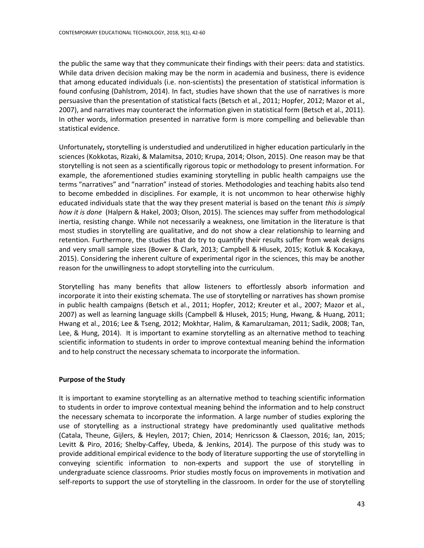the public the same way that they communicate their findings with their peers: data and statistics. While data driven decision making may be the norm in academia and business, there is evidence that among educated individuals (i.e. non-scientists) the presentation of statistical information is found confusing (Dahlstrom, 2014). In fact, studies have shown that the use of narratives is more persuasive than the presentation of statistical facts (Betsch et al., 2011; Hopfer, 2012; Mazor et al., 2007), and narratives may counteract the information given in statistical form (Betsch et al., 2011). In other words, information presented in narrative form is more compelling and believable than statistical evidence.

Unfortunately**,** storytelling is understudied and underutilized in higher education particularly in the sciences (Kokkotas, Rizaki, & Malamitsa, 2010; Krupa, 2014; Olson, 2015). One reason may be that storytelling is not seen as a scientifically rigorous topic or methodology to present information. For example, the aforementioned studies examining storytelling in public health campaigns use the terms "narratives" and "narration" instead of stories. Methodologies and teaching habits also tend to become embedded in disciplines. For example, it is not uncommon to hear otherwise highly educated individuals state that the way they present material is based on the tenant *this is simply how it is done* (Halpern & Hakel, 2003; Olson, 2015). The sciences may suffer from methodological inertia, resisting change. While not necessarily a weakness, one limitation in the literature is that most studies in storytelling are qualitative, and do not show a clear relationship to learning and retention. Furthermore, the studies that do try to quantify their results suffer from weak designs and very small sample sizes (Bower & Clark, 2013; Campbell & Hlusek, 2015; Kotluk & Kocakaya, 2015). Considering the inherent culture of experimental rigor in the sciences, this may be another reason for the unwillingness to adopt storytelling into the curriculum.

Storytelling has many benefits that allow listeners to effortlessly absorb information and incorporate it into their existing schemata. The use of storytelling or narratives has shown promise in public health campaigns (Betsch et al., 2011; Hopfer, 2012; Kreuter et al., 2007; Mazor et al., 2007) as well as learning language skills (Campbell & Hlusek, 2015; Hung, Hwang, & Huang, 2011; Hwang et al., 2016; Lee & Tseng, 2012; Mokhtar, Halim, & Kamarulzaman, 2011; Sadik, 2008; Tan, Lee, & Hung, 2014). It is important to examine storytelling as an alternative method to teaching scientific information to students in order to improve contextual meaning behind the information and to help construct the necessary schemata to incorporate the information.

# **Purpose of the Study**

It is important to examine storytelling as an alternative method to teaching scientific information to students in order to improve contextual meaning behind the information and to help construct the necessary schemata to incorporate the information. A large number of studies exploring the use of storytelling as a instructional strategy have predominantly used qualitative methods (Catala, Theune, Gijlers, & Heylen, 2017; Chien, 2014; Henricsson & Claesson, 2016; Ian, 2015; Levitt & Piro, 2016; Shelby-Caffey, Ubeda, & Jenkins, 2014). The purpose of this study was to provide additional empirical evidence to the body of literature supporting the use of storytelling in conveying scientific information to non-experts and support the use of storytelling in undergraduate science classrooms. Prior studies mostly focus on improvements in motivation and self-reports to support the use of storytelling in the classroom. In order for the use of storytelling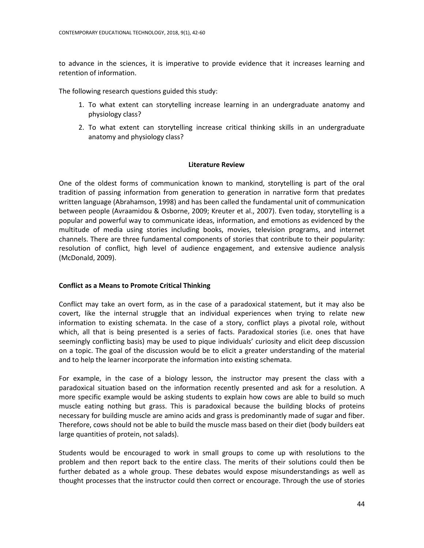to advance in the sciences, it is imperative to provide evidence that it increases learning and retention of information.

The following research questions guided this study:

- 1. To what extent can storytelling increase learning in an undergraduate anatomy and physiology class?
- 2. To what extent can storytelling increase critical thinking skills in an undergraduate anatomy and physiology class?

# **Literature Review**

One of the oldest forms of communication known to mankind, storytelling is part of the oral tradition of passing information from generation to generation in narrative form that predates written language (Abrahamson, 1998) and has been called the fundamental unit of communication between people (Avraamidou & Osborne, 2009; Kreuter et al., 2007). Even today, storytelling is a popular and powerful way to communicate ideas, information, and emotions as evidenced by the multitude of media using stories including books, movies, television programs, and internet channels. There are three fundamental components of stories that contribute to their popularity: resolution of conflict, high level of audience engagement, and extensive audience analysis (McDonald, 2009).

# **Conflict as a Means to Promote Critical Thinking**

Conflict may take an overt form, as in the case of a paradoxical statement, but it may also be covert, like the internal struggle that an individual experiences when trying to relate new information to existing schemata. In the case of a story, conflict plays a pivotal role, without which, all that is being presented is a series of facts. Paradoxical stories (i.e. ones that have seemingly conflicting basis) may be used to pique individuals' curiosity and elicit deep discussion on a topic. The goal of the discussion would be to elicit a greater understanding of the material and to help the learner incorporate the information into existing schemata.

For example, in the case of a biology lesson, the instructor may present the class with a paradoxical situation based on the information recently presented and ask for a resolution. A more specific example would be asking students to explain how cows are able to build so much muscle eating nothing but grass. This is paradoxical because the building blocks of proteins necessary for building muscle are amino acids and grass is predominantly made of sugar and fiber. Therefore, cows should not be able to build the muscle mass based on their diet (body builders eat large quantities of protein, not salads).

Students would be encouraged to work in small groups to come up with resolutions to the problem and then report back to the entire class. The merits of their solutions could then be further debated as a whole group. These debates would expose misunderstandings as well as thought processes that the instructor could then correct or encourage. Through the use of stories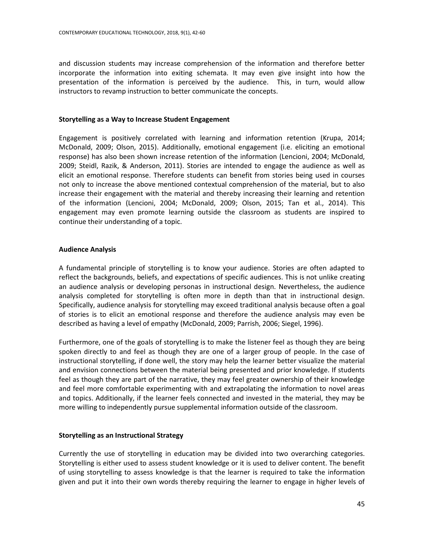and discussion students may increase comprehension of the information and therefore better incorporate the information into exiting schemata. It may even give insight into how the presentation of the information is perceived by the audience. This, in turn, would allow instructors to revamp instruction to better communicate the concepts.

# **Storytelling as a Way to Increase Student Engagement**

Engagement is positively correlated with learning and information retention (Krupa, 2014; McDonald, 2009; Olson, 2015). Additionally, emotional engagement (i.e. eliciting an emotional response) has also been shown increase retention of the information (Lencioni, 2004; McDonald, 2009; Steidl, Razik, & Anderson, 2011). Stories are intended to engage the audience as well as elicit an emotional response. Therefore students can benefit from stories being used in courses not only to increase the above mentioned contextual comprehension of the material, but to also increase their engagement with the material and thereby increasing their learning and retention of the information (Lencioni, 2004; McDonald, 2009; Olson, 2015; Tan et al., 2014). This engagement may even promote learning outside the classroom as students are inspired to continue their understanding of a topic.

# **Audience Analysis**

A fundamental principle of storytelling is to know your audience. Stories are often adapted to reflect the backgrounds, beliefs, and expectations of specific audiences. This is not unlike creating an audience analysis or developing personas in instructional design. Nevertheless, the audience analysis completed for storytelling is often more in depth than that in instructional design. Specifically, audience analysis for storytelling may exceed traditional analysis because often a goal of stories is to elicit an emotional response and therefore the audience analysis may even be described as having a level of empathy (McDonald, 2009; Parrish, 2006; Siegel, 1996).

Furthermore, one of the goals of storytelling is to make the listener feel as though they are being spoken directly to and feel as though they are one of a larger group of people. In the case of instructional storytelling, if done well, the story may help the learner better visualize the material and envision connections between the material being presented and prior knowledge. If students feel as though they are part of the narrative, they may feel greater ownership of their knowledge and feel more comfortable experimenting with and extrapolating the information to novel areas and topics. Additionally, if the learner feels connected and invested in the material, they may be more willing to independently pursue supplemental information outside of the classroom.

# **Storytelling as an Instructional Strategy**

Currently the use of storytelling in education may be divided into two overarching categories. Storytelling is either used to assess student knowledge or it is used to deliver content. The benefit of using storytelling to assess knowledge is that the learner is required to take the information given and put it into their own words thereby requiring the learner to engage in higher levels of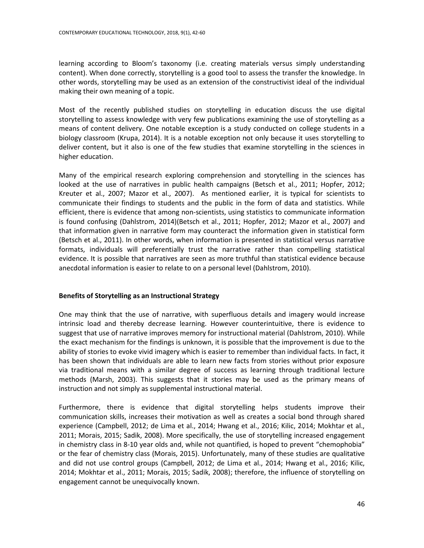learning according to Bloom's taxonomy (i.e. creating materials versus simply understanding content). When done correctly, storytelling is a good tool to assess the transfer the knowledge. In other words, storytelling may be used as an extension of the constructivist ideal of the individual making their own meaning of a topic.

Most of the recently published studies on storytelling in education discuss the use digital storytelling to assess knowledge with very few publications examining the use of storytelling as a means of content delivery. One notable exception is a study conducted on college students in a biology classroom (Krupa, 2014). It is a notable exception not only because it uses storytelling to deliver content, but it also is one of the few studies that examine storytelling in the sciences in higher education.

Many of the empirical research exploring comprehension and storytelling in the sciences has looked at the use of narratives in public health campaigns (Betsch et al., 2011; Hopfer, 2012; Kreuter et al., 2007; Mazor et al., 2007). As mentioned earlier, it is typical for scientists to communicate their findings to students and the public in the form of data and statistics. While efficient, there is evidence that among non-scientists, using statistics to communicate information is found confusing (Dahlstrom, 2014)(Betsch et al., 2011; Hopfer, 2012; Mazor et al., 2007) and that information given in narrative form may counteract the information given in statistical form (Betsch et al., 2011). In other words, when information is presented in statistical versus narrative formats, individuals will preferentially trust the narrative rather than compelling statistical evidence. It is possible that narratives are seen as more truthful than statistical evidence because anecdotal information is easier to relate to on a personal level (Dahlstrom, 2010).

# **Benefits of Storytelling as an Instructional Strategy**

One may think that the use of narrative, with superfluous details and imagery would increase intrinsic load and thereby decrease learning. However counterintuitive, there is evidence to suggest that use of narrative improves memory for instructional material (Dahlstrom, 2010). While the exact mechanism for the findings is unknown, it is possible that the improvement is due to the ability of stories to evoke vivid imagery which is easier to remember than individual facts. In fact, it has been shown that individuals are able to learn new facts from stories without prior exposure via traditional means with a similar degree of success as learning through traditional lecture methods (Marsh, 2003). This suggests that it stories may be used as the primary means of instruction and not simply as supplemental instructional material.

Furthermore, there is evidence that digital storytelling helps students improve their communication skills, increases their motivation as well as creates a social bond through shared experience (Campbell, 2012; de Lima et al., 2014; Hwang et al., 2016; Kilic, 2014; Mokhtar et al., 2011; Morais, 2015; Sadik, 2008). More specifically, the use of storytelling increased engagement in chemistry class in 8-10 year olds and, while not quantified, is hoped to prevent "chemophobia" or the fear of chemistry class (Morais, 2015). Unfortunately, many of these studies are qualitative and did not use control groups (Campbell, 2012; de Lima et al., 2014; Hwang et al., 2016; Kilic, 2014; Mokhtar et al., 2011; Morais, 2015; Sadik, 2008); therefore, the influence of storytelling on engagement cannot be unequivocally known.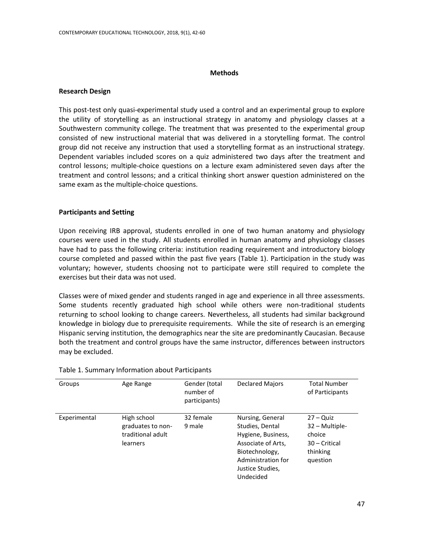### **Methods**

### **Research Design**

This post-test only quasi-experimental study used a control and an experimental group to explore the utility of storytelling as an instructional strategy in anatomy and physiology classes at a Southwestern community college. The treatment that was presented to the experimental group consisted of new instructional material that was delivered in a storytelling format. The control group did not receive any instruction that used a storytelling format as an instructional strategy. Dependent variables included scores on a quiz administered two days after the treatment and control lessons; multiple-choice questions on a lecture exam administered seven days after the treatment and control lessons; and a critical thinking short answer question administered on the same exam as the multiple-choice questions.

### **Participants and Setting**

Upon receiving IRB approval, students enrolled in one of two human anatomy and physiology courses were used in the study. All students enrolled in human anatomy and physiology classes have had to pass the following criteria: institution reading requirement and introductory biology course completed and passed within the past five years (Table 1). Participation in the study was voluntary; however, students choosing not to participate were still required to complete the exercises but their data was not used.

Classes were of mixed gender and students ranged in age and experience in all three assessments. Some students recently graduated high school while others were non-traditional students returning to school looking to change careers. Nevertheless, all students had similar background knowledge in biology due to prerequisite requirements.While the site of research is an emerging Hispanic serving institution, the demographics near the site are predominantly Caucasian. Because both the treatment and control groups have the same instructor, differences between instructors may be excluded.

| Groups       | Age Range                                                         | Gender (total<br>number of<br>participants) | <b>Declared Majors</b>                                                                                                                                   | <b>Total Number</b><br>of Participants                                           |
|--------------|-------------------------------------------------------------------|---------------------------------------------|----------------------------------------------------------------------------------------------------------------------------------------------------------|----------------------------------------------------------------------------------|
| Experimental | High school<br>graduates to non-<br>traditional adult<br>learners | 32 female<br>9 male                         | Nursing, General<br>Studies, Dental<br>Hygiene, Business,<br>Associate of Arts,<br>Biotechnology,<br>Administration for<br>Justice Studies,<br>Undecided | $27 - Quiz$<br>32 – Multiple-<br>choice<br>30 – Critical<br>thinking<br>question |

### Table 1. Summary Information about Participants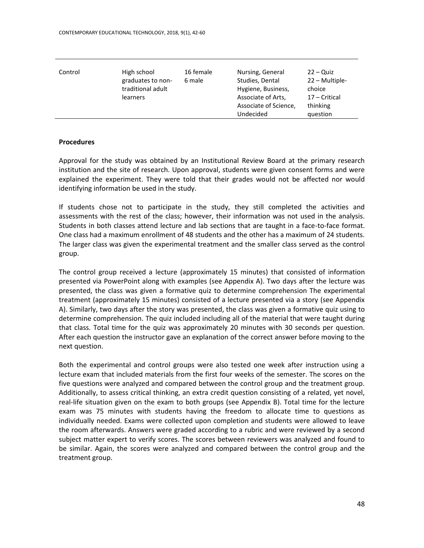| Control | High school<br>graduates to non-<br>traditional adult<br>learners | 16 female<br>6 male | Nursing, General<br>Studies, Dental<br>Hygiene, Business,<br>Associate of Arts,<br>Associate of Science,<br>Undecided | $22 - Quiz$<br>22 – Multiple-<br>choice<br>17 – Critical<br>thinking<br>question |
|---------|-------------------------------------------------------------------|---------------------|-----------------------------------------------------------------------------------------------------------------------|----------------------------------------------------------------------------------|
|---------|-------------------------------------------------------------------|---------------------|-----------------------------------------------------------------------------------------------------------------------|----------------------------------------------------------------------------------|

### **Procedures**

Approval for the study was obtained by an Institutional Review Board at the primary research institution and the site of research. Upon approval, students were given consent forms and were explained the experiment. They were told that their grades would not be affected nor would identifying information be used in the study.

If students chose not to participate in the study, they still completed the activities and assessments with the rest of the class; however, their information was not used in the analysis. Students in both classes attend lecture and lab sections that are taught in a face-to-face format. One class had a maximum enrollment of 48 students and the other has a maximum of 24 students. The larger class was given the experimental treatment and the smaller class served as the control group.

The control group received a lecture (approximately 15 minutes) that consisted of information presented via PowerPoint along with examples (see Appendix A). Two days after the lecture was presented, the class was given a formative quiz to determine comprehension The experimental treatment (approximately 15 minutes) consisted of a lecture presented via a story (see Appendix A). Similarly, two days after the story was presented, the class was given a formative quiz using to determine comprehension. The quiz included including all of the material that were taught during that class. Total time for the quiz was approximately 20 minutes with 30 seconds per question. After each question the instructor gave an explanation of the correct answer before moving to the next question.

Both the experimental and control groups were also tested one week after instruction using a lecture exam that included materials from the first four weeks of the semester. The scores on the five questions were analyzed and compared between the control group and the treatment group. Additionally, to assess critical thinking, an extra credit question consisting of a related, yet novel, real-life situation given on the exam to both groups (see Appendix B). Total time for the lecture exam was 75 minutes with students having the freedom to allocate time to questions as individually needed. Exams were collected upon completion and students were allowed to leave the room afterwards. Answers were graded according to a rubric and were reviewed by a second subject matter expert to verify scores. The scores between reviewers was analyzed and found to be similar. Again, the scores were analyzed and compared between the control group and the treatment group.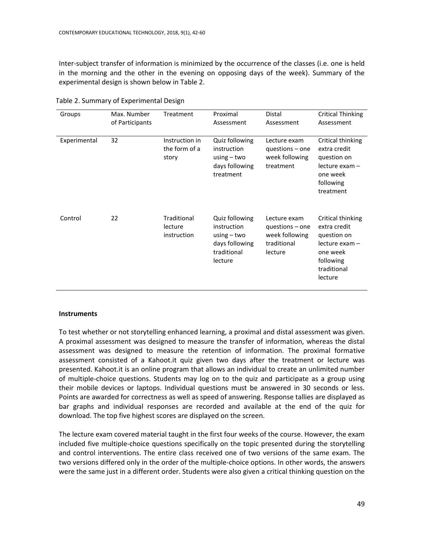Inter-subject transfer of information is minimized by the occurrence of the classes (i.e. one is held in the morning and the other in the evening on opposing days of the week). Summary of the experimental design is shown below in Table 2.

| Groups       | Max. Number<br>of Participants | Treatment                                | Proximal<br>Assessment                                                                     | Distal<br>Assessment                                                          | Critical Thinking<br>Assessment                                                                                           |
|--------------|--------------------------------|------------------------------------------|--------------------------------------------------------------------------------------------|-------------------------------------------------------------------------------|---------------------------------------------------------------------------------------------------------------------------|
| Experimental | 32                             | Instruction in<br>the form of a<br>story | Quiz following<br>instruction<br>using $-$ two<br>days following<br>treatment              | Lecture exam<br>questions - one<br>week following<br>treatment                | Critical thinking<br>extra credit<br>question on<br>$lecture$ exam $-$<br>one week<br>following<br>treatment              |
| Control      | 22                             | Traditional<br>lecture<br>instruction    | Quiz following<br>instruction<br>using $-$ two<br>days following<br>traditional<br>lecture | Lecture exam<br>$questions - one$<br>week following<br>traditional<br>lecture | Critical thinking<br>extra credit<br>question on<br>$lecture$ exam $-$<br>one week<br>following<br>traditional<br>lecture |

Table 2. Summary of Experimental Design

#### **Instruments**

To test whether or not storytelling enhanced learning, a proximal and distal assessment was given. A proximal assessment was designed to measure the transfer of information, whereas the distal assessment was designed to measure the retention of information. The proximal formative assessment consisted of a Kahoot.it quiz given two days after the treatment or lecture was presented. Kahoot.it is an online program that allows an individual to create an unlimited number of multiple-choice questions. Students may log on to the quiz and participate as a group using their mobile devices or laptops. Individual questions must be answered in 30 seconds or less. Points are awarded for correctness as well as speed of answering. Response tallies are displayed as bar graphs and individual responses are recorded and available at the end of the quiz for download. The top five highest scores are displayed on the screen.

The lecture exam covered material taught in the first four weeks of the course. However, the exam included five multiple-choice questions specifically on the topic presented during the storytelling and control interventions. The entire class received one of two versions of the same exam. The two versions differed only in the order of the multiple-choice options. In other words, the answers were the same just in a different order. Students were also given a critical thinking question on the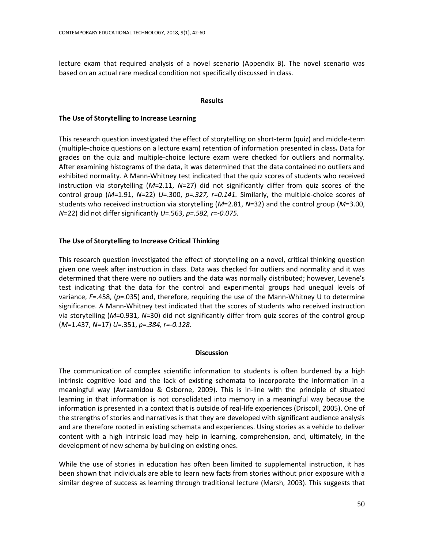lecture exam that required analysis of a novel scenario (Appendix B). The novel scenario was based on an actual rare medical condition not specifically discussed in class.

# **Results**

# **The Use of Storytelling to Increase Learning**

This research question investigated the effect of storytelling on short-term (quiz) and middle-term (multiple-choice questions on a lecture exam) retention of information presented in class**.** Data for grades on the quiz and multiple-choice lecture exam were checked for outliers and normality. After examining histograms of the data, it was determined that the data contained no outliers and exhibited normality. A Mann-Whitney test indicated that the quiz scores of students who received instruction via storytelling (*M*=2.11, *N*=27) did not significantly differ from quiz scores of the control group (*M*=1.91, *N*=22) *U*=.300, *p=.327, r=0.141.* Similarly, the multiple-choice scores of students who received instruction via storytelling (*M*=2.81, *N*=32) and the control group (*M*=3.00, *N*=22) did not differ significantly *U*=.563, *p=.582, r=-0.075.*

# **The Use of Storytelling to Increase Critical Thinking**

This research question investigated the effect of storytelling on a novel, critical thinking question given one week after instruction in class. Data was checked for outliers and normality and it was determined that there were no outliers and the data was normally distributed; however, Levene's test indicating that the data for the control and experimental groups had unequal levels of variance, *F=*.458, (*p*=.035) and, therefore, requiring the use of the Mann-Whitney U to determine significance. A Mann-Whitney test indicated that the scores of students who received instruction via storytelling (*M*=0.931, *N*=30) did not significantly differ from quiz scores of the control group (*M*=1.437, *N*=17) *U*=.351, *p=.384, r=-0.128*.

# **Discussion**

The communication of complex scientific information to students is often burdened by a high intrinsic cognitive load and the lack of existing schemata to incorporate the information in a meaningful way (Avraamidou & Osborne, 2009). This is in-line with the principle of situated learning in that information is not consolidated into memory in a meaningful way because the information is presented in a context that is outside of real-life experiences (Driscoll, 2005). One of the strengths of stories and narratives is that they are developed with significant audience analysis and are therefore rooted in existing schemata and experiences. Using stories as a vehicle to deliver content with a high intrinsic load may help in learning, comprehension, and, ultimately, in the development of new schema by building on existing ones.

While the use of stories in education has often been limited to supplemental instruction, it has been shown that individuals are able to learn new facts from stories without prior exposure with a similar degree of success as learning through traditional lecture (Marsh, 2003). This suggests that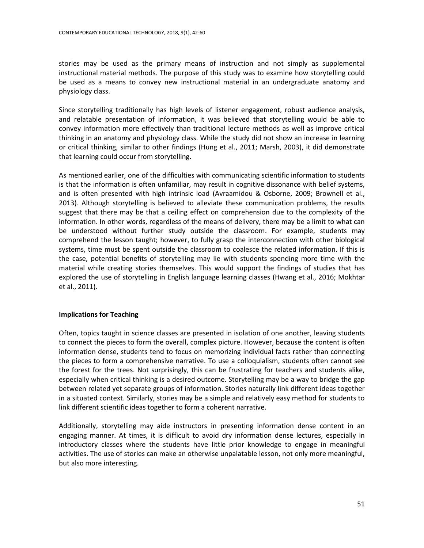stories may be used as the primary means of instruction and not simply as supplemental instructional material methods. The purpose of this study was to examine how storytelling could be used as a means to convey new instructional material in an undergraduate anatomy and physiology class.

Since storytelling traditionally has high levels of listener engagement, robust audience analysis, and relatable presentation of information, it was believed that storytelling would be able to convey information more effectively than traditional lecture methods as well as improve critical thinking in an anatomy and physiology class. While the study did not show an increase in learning or critical thinking, similar to other findings (Hung et al., 2011; Marsh, 2003), it did demonstrate that learning could occur from storytelling.

As mentioned earlier, one of the difficulties with communicating scientific information to students is that the information is often unfamiliar, may result in cognitive dissonance with belief systems, and is often presented with high intrinsic load (Avraamidou & Osborne, 2009; Brownell et al., 2013). Although storytelling is believed to alleviate these communication problems, the results suggest that there may be that a ceiling effect on comprehension due to the complexity of the information. In other words, regardless of the means of delivery, there may be a limit to what can be understood without further study outside the classroom. For example, students may comprehend the lesson taught; however, to fully grasp the interconnection with other biological systems, time must be spent outside the classroom to coalesce the related information. If this is the case, potential benefits of storytelling may lie with students spending more time with the material while creating stories themselves. This would support the findings of studies that has explored the use of storytelling in English language learning classes (Hwang et al., 2016; Mokhtar et al., 2011).

# **Implications for Teaching**

Often, topics taught in science classes are presented in isolation of one another, leaving students to connect the pieces to form the overall, complex picture. However, because the content is often information dense, students tend to focus on memorizing individual facts rather than connecting the pieces to form a comprehensive narrative. To use a colloquialism, students often cannot see the forest for the trees. Not surprisingly, this can be frustrating for teachers and students alike, especially when critical thinking is a desired outcome. Storytelling may be a way to bridge the gap between related yet separate groups of information. Stories naturally link different ideas together in a situated context. Similarly, stories may be a simple and relatively easy method for students to link different scientific ideas together to form a coherent narrative.

Additionally, storytelling may aide instructors in presenting information dense content in an engaging manner. At times, it is difficult to avoid dry information dense lectures, especially in introductory classes where the students have little prior knowledge to engage in meaningful activities. The use of stories can make an otherwise unpalatable lesson, not only more meaningful, but also more interesting.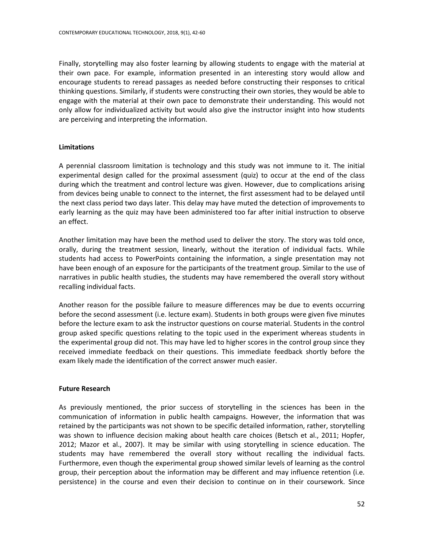Finally, storytelling may also foster learning by allowing students to engage with the material at their own pace. For example, information presented in an interesting story would allow and encourage students to reread passages as needed before constructing their responses to critical thinking questions. Similarly, if students were constructing their own stories, they would be able to engage with the material at their own pace to demonstrate their understanding. This would not only allow for individualized activity but would also give the instructor insight into how students are perceiving and interpreting the information.

# **Limitations**

A perennial classroom limitation is technology and this study was not immune to it. The initial experimental design called for the proximal assessment (quiz) to occur at the end of the class during which the treatment and control lecture was given. However, due to complications arising from devices being unable to connect to the internet, the first assessment had to be delayed until the next class period two days later. This delay may have muted the detection of improvements to early learning as the quiz may have been administered too far after initial instruction to observe an effect.

Another limitation may have been the method used to deliver the story. The story was told once, orally, during the treatment session, linearly, without the iteration of individual facts. While students had access to PowerPoints containing the information, a single presentation may not have been enough of an exposure for the participants of the treatment group. Similar to the use of narratives in public health studies, the students may have remembered the overall story without recalling individual facts.

Another reason for the possible failure to measure differences may be due to events occurring before the second assessment (i.e. lecture exam). Students in both groups were given five minutes before the lecture exam to ask the instructor questions on course material. Students in the control group asked specific questions relating to the topic used in the experiment whereas students in the experimental group did not. This may have led to higher scores in the control group since they received immediate feedback on their questions. This immediate feedback shortly before the exam likely made the identification of the correct answer much easier.

# **Future Research**

As previously mentioned, the prior success of storytelling in the sciences has been in the communication of information in public health campaigns. However, the information that was retained by the participants was not shown to be specific detailed information, rather, storytelling was shown to influence decision making about health care choices (Betsch et al., 2011; Hopfer, 2012; Mazor et al., 2007). It may be similar with using storytelling in science education. The students may have remembered the overall story without recalling the individual facts. Furthermore, even though the experimental group showed similar levels of learning as the control group, their perception about the information may be different and may influence retention (i.e. persistence) in the course and even their decision to continue on in their coursework. Since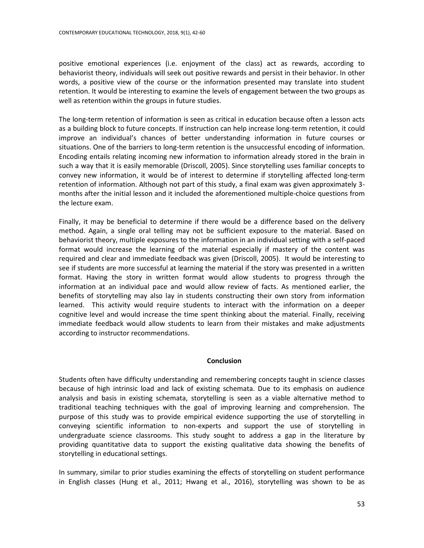positive emotional experiences (i.e. enjoyment of the class) act as rewards, according to behaviorist theory, individuals will seek out positive rewards and persist in their behavior. In other words, a positive view of the course or the information presented may translate into student retention. It would be interesting to examine the levels of engagement between the two groups as well as retention within the groups in future studies.

The long-term retention of information is seen as critical in education because often a lesson acts as a building block to future concepts. If instruction can help increase long-term retention, it could improve an individual's chances of better understanding information in future courses or situations. One of the barriers to long-term retention is the unsuccessful encoding of information. Encoding entails relating incoming new information to information already stored in the brain in such a way that it is easily memorable (Driscoll, 2005). Since storytelling uses familiar concepts to convey new information, it would be of interest to determine if storytelling affected long-term retention of information. Although not part of this study, a final exam was given approximately 3 months after the initial lesson and it included the aforementioned multiple-choice questions from the lecture exam.

Finally, it may be beneficial to determine if there would be a difference based on the delivery method. Again, a single oral telling may not be sufficient exposure to the material. Based on behaviorist theory, multiple exposures to the information in an individual setting with a self-paced format would increase the learning of the material especially if mastery of the content was required and clear and immediate feedback was given (Driscoll, 2005). It would be interesting to see if students are more successful at learning the material if the story was presented in a written format. Having the story in written format would allow students to progress through the information at an individual pace and would allow review of facts. As mentioned earlier, the benefits of storytelling may also lay in students constructing their own story from information learned. This activity would require students to interact with the information on a deeper cognitive level and would increase the time spent thinking about the material. Finally, receiving immediate feedback would allow students to learn from their mistakes and make adjustments according to instructor recommendations.

# **Conclusion**

Students often have difficulty understanding and remembering concepts taught in science classes because of high intrinsic load and lack of existing schemata. Due to its emphasis on audience analysis and basis in existing schemata, storytelling is seen as a viable alternative method to traditional teaching techniques with the goal of improving learning and comprehension. The purpose of this study was to provide empirical evidence supporting the use of storytelling in conveying scientific information to non-experts and support the use of storytelling in undergraduate science classrooms. This study sought to address a gap in the literature by providing quantitative data to support the existing qualitative data showing the benefits of storytelling in educational settings.

In summary, similar to prior studies examining the effects of storytelling on student performance in English classes (Hung et al., 2011; Hwang et al., 2016), storytelling was shown to be as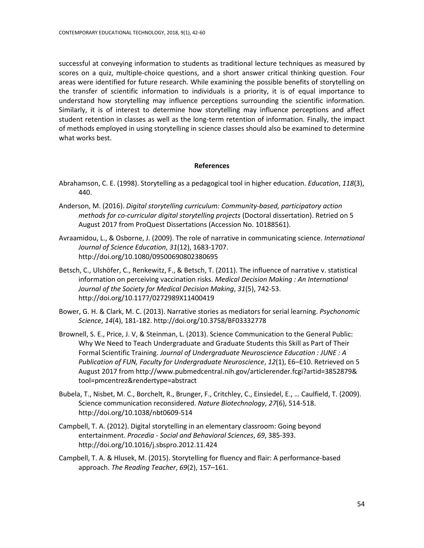successful at conveying information to students as traditional lecture techniques as measured by scores on a quiz, multiple-choice questions, and a short answer critical thinking question. Four areas were identified for future research. While examining the possible benefits of storytelling on the transfer of scientific information to individuals is a priority, it is of equal importance to understand how storytelling may influence perceptions surrounding the scientific information. Similarly, it is of interest to determine how storytelling may influence perceptions and affect student retention in classes as well as the long-term retention of information. Finally, the impact of methods employed in using storytelling in science classes should also be examined to determine what works best.

# **References**

- Abrahamson, C. E. (1998). Storytelling as a pedagogical tool in higher education. *Education*, *118*(3), 440.
- Anderson, M. (2016). *Digital storytelling curriculum: Community-based, participatory action methods for co-curricular digital storytelling projects* (Doctoral dissertation). Retried on 5 August 2017 from ProQuest Dissertations (Accession No. 10188561).
- Avraamidou, L., & Osborne, J. (2009). The role of narrative in communicating science. *International Journal of Science Education*, *31*(12), 1683-1707. http://doi.org/10.1080/09500690802380695
- Betsch, C., Ulshöfer, C., Renkewitz, F., & Betsch, T. (2011). The influence of narrative v. statistical information on perceiving vaccination risks. *Medical Decision Making : An International Journal of the Society for Medical Decision Making*, *31*(5), 742-53. http://doi.org/10.1177/0272989X11400419
- Bower, G. H. & Clark, M. C. (2013). Narrative stories as mediators for serial learning. *Psychonomic Science*, *14*(4), 181-182. http://doi.org/10.3758/BF03332778
- Brownell, S. E., Price, J. V, & Steinman, L. (2013). Science Communication to the General Public: Why We Need to Teach Undergraduate and Graduate Students this Skill as Part of Their Formal Scientific Training. *Journal of Undergraduate Neuroscience Education : JUNE : A Publication of FUN, Faculty for Undergraduate Neuroscience*, *12*(1), E6–E10. Retrieved on 5 August 2017 from http://www.pubmedcentral.nih.gov/articlerender.fcgi?artid=3852879& tool=pmcentrez&rendertype=abstract
- Bubela, T., Nisbet, M. C., Borchelt, R., Brunger, F., Critchley, C., Einsiedel, E., … Caulfield, T. (2009). Science communication reconsidered. *Nature Biotechnology*, *27*(6), 514-518. http://doi.org/10.1038/nbt0609-514
- Campbell, T. A. (2012). Digital storytelling in an elementary classroom: Going beyond entertainment. *Procedia - Social and Behavioral Sciences*, *69*, 385-393. http://doi.org/10.1016/j.sbspro.2012.11.424
- Campbell, T. A. & Hlusek, M. (2015). Storytelling for fluency and flair: A performance-based approach. *The Reading Teacher*, *69*(2), 157–161.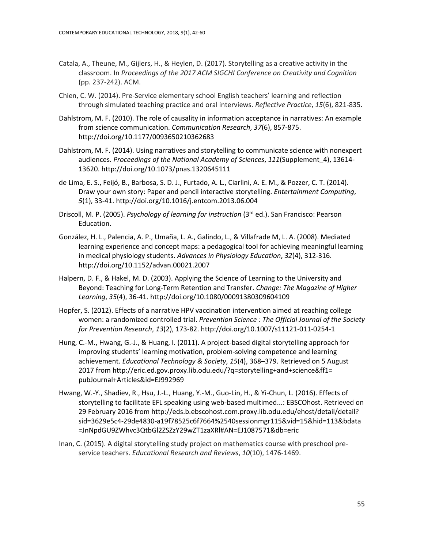- Catala, A., Theune, M., Gijlers, H., & Heylen, D. (2017). Storytelling as a creative activity in the classroom. In *Proceedings of the 2017 ACM SIGCHI Conference on Creativity and Cognition* (pp. 237-242). ACM.
- Chien, C. W. (2014). Pre-Service elementary school English teachers' learning and reflection through simulated teaching practice and oral interviews. *Reflective Practice*, *15*(6), 821-835.
- Dahlstrom, M. F. (2010). The role of causality in information acceptance in narratives: An example from science communication. *Communication Research*, *37*(6), 857-875. http://doi.org/10.1177/0093650210362683
- Dahlstrom, M. F. (2014). Using narratives and storytelling to communicate science with nonexpert audiences. *Proceedings of the National Academy of Sciences*, *111*(Supplement\_4), 13614- 13620. http://doi.org/10.1073/pnas.1320645111
- de Lima, E. S., Feijó, B., Barbosa, S. D. J., Furtado, A. L., Ciarlini, A. E. M., & Pozzer, C. T. (2014). Draw your own story: Paper and pencil interactive storytelling. *Entertainment Computing*, *5*(1), 33-41. http://doi.org/10.1016/j.entcom.2013.06.004
- Driscoll, M. P. (2005). *Psychology of learning for instruction* (3rd ed.). San Francisco: Pearson Education.
- González, H. L., Palencia, A. P., Umaña, L. A., Galindo, L., & Villafrade M, L. A. (2008). Mediated learning experience and concept maps: a pedagogical tool for achieving meaningful learning in medical physiology students. *Advances in Physiology Education*, *32*(4), 312-316. http://doi.org/10.1152/advan.00021.2007
- Halpern, D. F., & Hakel, M. D. (2003). Applying the Science of Learning to the University and Beyond: Teaching for Long-Term Retention and Transfer. *Change: The Magazine of Higher Learning*, *35*(4), 36-41. http://doi.org/10.1080/00091380309604109
- Hopfer, S. (2012). Effects of a narrative HPV vaccination intervention aimed at reaching college women: a randomized controlled trial. *Prevention Science : The Official Journal of the Society for Prevention Research*, *13*(2), 173-82. http://doi.org/10.1007/s11121-011-0254-1
- Hung, C.-M., Hwang, G.-J., & Huang, I. (2011). A project-based digital storytelling approach for improving students' learning motivation, problem-solving competence and learning achievement. *Educational Technology & Society*, *15*(4), 368–379. Retrieved on 5 August 2017 from http://eric.ed.gov.proxy.lib.odu.edu/?q=storytelling+and+science&ff1= pubJournal+Articles&id=EJ992969
- Hwang, W.-Y., Shadiev, R., Hsu, J.-L., Huang, Y.-M., Guo-Lin, H., & Yi-Chun, L. (2016). Effects of storytelling to facilitate EFL speaking using web-based multimed...: EBSCOhost. Retrieved on 29 February 2016 from http://eds.b.ebscohost.com.proxy.lib.odu.edu/ehost/detail/detail? sid=3629e5c4-29de4830-a19f78525c6f7664%2540sessionmgr115&vid=15&hid=113&bdata =JnNpdGU9ZWhvc3QtbGl2ZSZzY29wZT1zaXRl#AN=EJ1087571&db=eric
- Inan, C. (2015). A digital storytelling study project on mathematics course with preschool preservice teachers. *Educational Research and Reviews*, *10*(10), 1476-1469.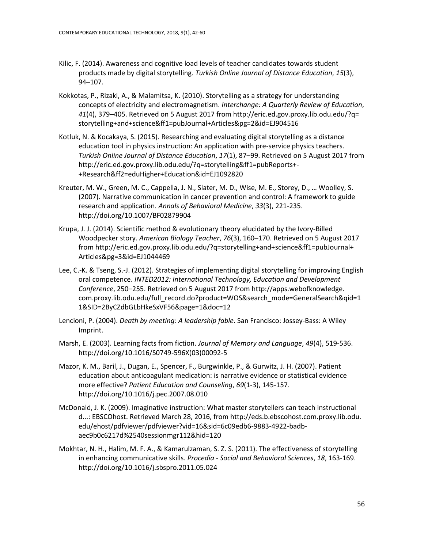- Kilic, F. (2014). Awareness and cognitive load levels of teacher candidates towards student products made by digital storytelling. *Turkish Online Journal of Distance Education*, *15*(3), 94–107.
- Kokkotas, P., Rizaki, A., & Malamitsa, K. (2010). Storytelling as a strategy for understanding concepts of electricity and electromagnetism. *Interchange: A Quarterly Review of Education*, *41*(4), 379–405. Retrieved on 5 August 2017 from http://eric.ed.gov.proxy.lib.odu.edu/?q= storytelling+and+science&ff1=pubJournal+Articles&pg=2&id=EJ904516
- Kotluk, N. & Kocakaya, S. (2015). Researching and evaluating digital storytelling as a distance education tool in physics instruction: An application with pre-service physics teachers. *Turkish Online Journal of Distance Education*, *17*(1), 87–99. Retrieved on 5 August 2017 from http://eric.ed.gov.proxy.lib.odu.edu/?q=storytelling&ff1=pubReports+- +Research&ff2=eduHigher+Education&id=EJ1092820
- Kreuter, M. W., Green, M. C., Cappella, J. N., Slater, M. D., Wise, M. E., Storey, D., … Woolley, S. (2007). Narrative communication in cancer prevention and control: A framework to guide research and application. *Annals of Behavioral Medicine*, *33*(3), 221-235. http://doi.org/10.1007/BF02879904
- Krupa, J. J. (2014). Scientific method & evolutionary theory elucidated by the Ivory-Billed Woodpecker story. *American Biology Teacher*, *76*(3), 160–170. Retrieved on 5 August 2017 from http://eric.ed.gov.proxy.lib.odu.edu/?q=storytelling+and+science&ff1=pubJournal+ Articles&pg=3&id=EJ1044469
- Lee, C.-K. & Tseng, S.-J. (2012). Strategies of implementing digital storytelling for improving English oral competence. *INTED2012: International Technology, Education and Development Conference*, 250–255. Retrieved on 5 August 2017 from http://apps.webofknowledge. com.proxy.lib.odu.edu/full\_record.do?product=WOS&search\_mode=GeneralSearch&qid=1 1&SID=2ByCZdbGLbHkeSxVF56&page=1&doc=12
- Lencioni, P. (2004). *Death by meeting: A leadership fable*. San Francisco: Jossey-Bass: A Wiley Imprint.
- Marsh, E. (2003). Learning facts from fiction. *Journal of Memory and Language*, *49*(4), 519-536. http://doi.org/10.1016/S0749-596X(03)00092-5
- Mazor, K. M., Baril, J., Dugan, E., Spencer, F., Burgwinkle, P., & Gurwitz, J. H. (2007). Patient education about anticoagulant medication: is narrative evidence or statistical evidence more effective? *Patient Education and Counseling*, *69*(1-3), 145-157. http://doi.org/10.1016/j.pec.2007.08.010
- McDonald, J. K. (2009). Imaginative instruction: What master storytellers can teach instructional d...: EBSCOhost. Retrieved March 28, 2016, from http://eds.b.ebscohost.com.proxy.lib.odu. edu/ehost/pdfviewer/pdfviewer?vid=16&sid=6c09edb6-9883-4922-badbaec9b0c6217d%2540sessionmgr112&hid=120
- Mokhtar, N. H., Halim, M. F. A., & Kamarulzaman, S. Z. S. (2011). The effectiveness of storytelling in enhancing communicative skills. *Procedia - Social and Behavioral Sciences*, *18*, 163-169. http://doi.org/10.1016/j.sbspro.2011.05.024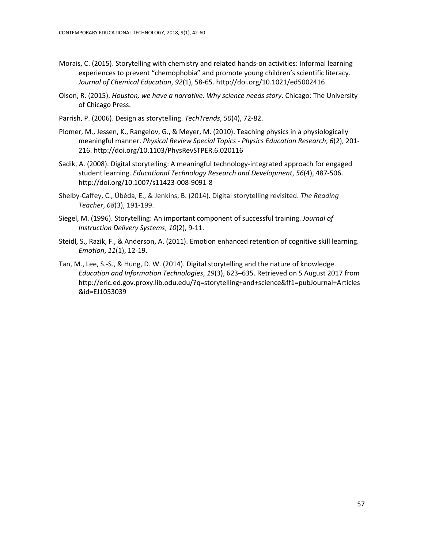- Morais, C. (2015). Storytelling with chemistry and related hands-on activities: Informal learning experiences to prevent "chemophobia" and promote young children's scientific literacy. *Journal of Chemical Education*, *92*(1), 58-65. http://doi.org/10.1021/ed5002416
- Olson, R. (2015). *Houston, we have a narrative: Why science needs story*. Chicago: The University of Chicago Press.
- Parrish, P. (2006). Design as storytelling. *TechTrends*, *50*(4), 72-82.
- Plomer, M., Jessen, K., Rangelov, G., & Meyer, M. (2010). Teaching physics in a physiologically meaningful manner. *Physical Review Special Topics - Physics Education Research*, *6*(2), 201- 216. http://doi.org/10.1103/PhysRevSTPER.6.020116
- Sadik, A. (2008). Digital storytelling: A meaningful technology-integrated approach for engaged student learning. *Educational Technology Research and Development*, *56*(4), 487-506. http://doi.org/10.1007/s11423-008-9091-8
- Shelby‐Caffey, C., Úbéda, E., & Jenkins, B. (2014). Digital storytelling revisited. *The Reading Teacher*, *68*(3), 191-199.
- Siegel, M. (1996). Storytelling: An important component of successful training. *Journal of Instruction Delivery Systems*, *10*(2), 9-11.
- Steidl, S., Razik, F., & Anderson, A. (2011). Emotion enhanced retention of cognitive skill learning. *Emotion*, *11*(1), 12-19.
- Tan, M., Lee, S.-S., & Hung, D. W. (2014). Digital storytelling and the nature of knowledge. *Education and Information Technologies*, *19*(3), 623–635. Retrieved on 5 August 2017 from http://eric.ed.gov.proxy.lib.odu.edu/?q=storytelling+and+science&ff1=pubJournal+Articles &id=EJ1053039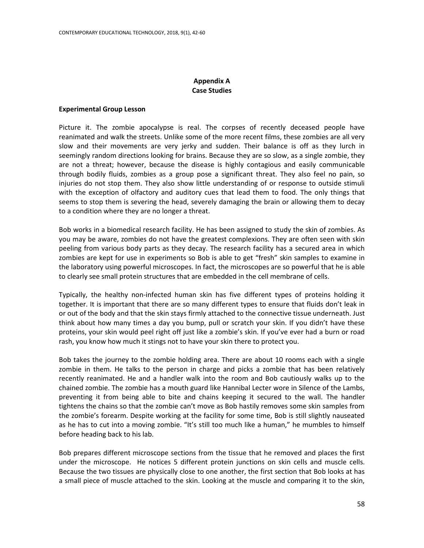# **Appendix A Case Studies**

### **Experimental Group Lesson**

Picture it. The zombie apocalypse is real. The corpses of recently deceased people have reanimated and walk the streets. Unlike some of the more recent films, these zombies are all very slow and their movements are very jerky and sudden. Their balance is off as they lurch in seemingly random directions looking for brains. Because they are so slow, as a single zombie, they are not a threat; however, because the disease is highly contagious and easily communicable through bodily fluids, zombies as a group pose a significant threat. They also feel no pain, so injuries do not stop them. They also show little understanding of or response to outside stimuli with the exception of olfactory and auditory cues that lead them to food. The only things that seems to stop them is severing the head, severely damaging the brain or allowing them to decay to a condition where they are no longer a threat.

Bob works in a biomedical research facility. He has been assigned to study the skin of zombies. As you may be aware, zombies do not have the greatest complexions. They are often seen with skin peeling from various body parts as they decay. The research facility has a secured area in which zombies are kept for use in experiments so Bob is able to get "fresh" skin samples to examine in the laboratory using powerful microscopes. In fact, the microscopes are so powerful that he is able to clearly see small protein structures that are embedded in the cell membrane of cells.

Typically, the healthy non-infected human skin has five different types of proteins holding it together. It is important that there are so many different types to ensure that fluids don't leak in or out of the body and that the skin stays firmly attached to the connective tissue underneath. Just think about how many times a day you bump, pull or scratch your skin. If you didn't have these proteins, your skin would peel right off just like a zombie's skin. If you've ever had a burn or road rash, you know how much it stings not to have your skin there to protect you.

Bob takes the journey to the zombie holding area. There are about 10 rooms each with a single zombie in them. He talks to the person in charge and picks a zombie that has been relatively recently reanimated. He and a handler walk into the room and Bob cautiously walks up to the chained zombie. The zombie has a mouth guard like Hannibal Lecter wore in Silence of the Lambs, preventing it from being able to bite and chains keeping it secured to the wall. The handler tightens the chains so that the zombie can't move as Bob hastily removes some skin samples from the zombie's forearm. Despite working at the facility for some time, Bob is still slightly nauseated as he has to cut into a moving zombie. "It's still too much like a human," he mumbles to himself before heading back to his lab.

Bob prepares different microscope sections from the tissue that he removed and places the first under the microscope. He notices 5 different protein junctions on skin cells and muscle cells. Because the two tissues are physically close to one another, the first section that Bob looks at has a small piece of muscle attached to the skin. Looking at the muscle and comparing it to the skin,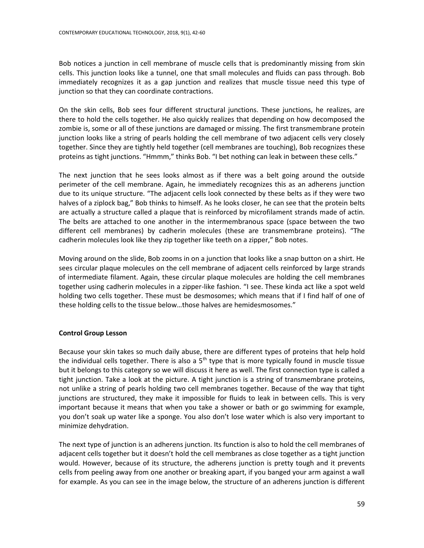Bob notices a junction in cell membrane of muscle cells that is predominantly missing from skin cells. This junction looks like a tunnel, one that small molecules and fluids can pass through. Bob immediately recognizes it as a gap junction and realizes that muscle tissue need this type of junction so that they can coordinate contractions.

On the skin cells, Bob sees four different structural junctions. These junctions, he realizes, are there to hold the cells together. He also quickly realizes that depending on how decomposed the zombie is, some or all of these junctions are damaged or missing. The first transmembrane protein junction looks like a string of pearls holding the cell membrane of two adjacent cells very closely together. Since they are tightly held together (cell membranes are touching), Bob recognizes these proteins as tight junctions. "Hmmm," thinks Bob. "I bet nothing can leak in between these cells."

The next junction that he sees looks almost as if there was a belt going around the outside perimeter of the cell membrane. Again, he immediately recognizes this as an adherens junction due to its unique structure. "The adjacent cells look connected by these belts as if they were two halves of a ziplock bag," Bob thinks to himself. As he looks closer, he can see that the protein belts are actually a structure called a plaque that is reinforced by microfilament strands made of actin. The belts are attached to one another in the intermembranous space (space between the two different cell membranes) by cadherin molecules (these are transmembrane proteins). "The cadherin molecules look like they zip together like teeth on a zipper," Bob notes.

Moving around on the slide, Bob zooms in on a junction that looks like a snap button on a shirt. He sees circular plaque molecules on the cell membrane of adjacent cells reinforced by large strands of intermediate filament. Again, these circular plaque molecules are holding the cell membranes together using cadherin molecules in a zipper-like fashion. "I see. These kinda act like a spot weld holding two cells together. These must be desmosomes; which means that if I find half of one of these holding cells to the tissue below…those halves are hemidesmosomes."

# **Control Group Lesson**

Because your skin takes so much daily abuse, there are different types of proteins that help hold the individual cells together. There is also a  $5<sup>th</sup>$  type that is more typically found in muscle tissue but it belongs to this category so we will discuss it here as well. The first connection type is called a tight junction. Take a look at the picture. A tight junction is a string of transmembrane proteins, not unlike a string of pearls holding two cell membranes together. Because of the way that tight junctions are structured, they make it impossible for fluids to leak in between cells. This is very important because it means that when you take a shower or bath or go swimming for example, you don't soak up water like a sponge. You also don't lose water which is also very important to minimize dehydration.

The next type of junction is an adherens junction. Its function is also to hold the cell membranes of adjacent cells together but it doesn't hold the cell membranes as close together as a tight junction would. However, because of its structure, the adherens junction is pretty tough and it prevents cells from peeling away from one another or breaking apart, if you banged your arm against a wall for example. As you can see in the image below, the structure of an adherens junction is different